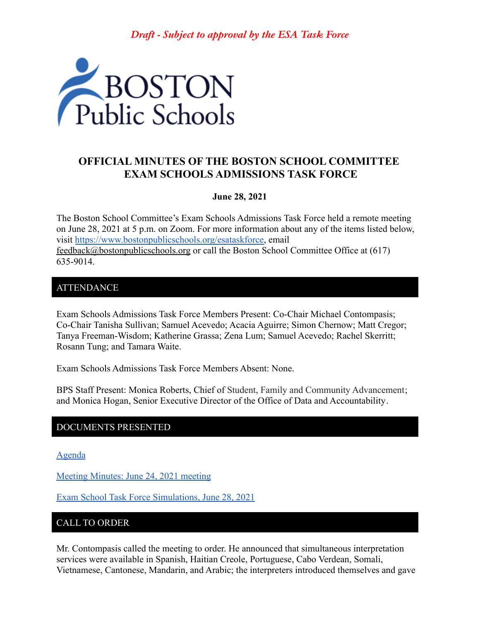*Draft - Subject to approval by the ESA Task Force*



# **OFFICIAL MINUTES OF THE BOSTON SCHOOL COMMITTEE EXAM SCHOOLS ADMISSIONS TASK FORCE**

### **June 28, 2021**

The Boston School Committee's Exam Schools Admissions Task Force held a remote meeting on June 28, 2021 at 5 p.m. on Zoom. For more information about any of the items listed below, visit [https://www.bostonpublicschools.org/esataskforce,](https://www.bostonpublicschools.org/esataskforce) email [feedback@bostonpublicschools.org](mailto:feedback@bostonpublicschools.org) or call the Boston School Committee Office at (617) 635-9014.

### **ATTENDANCE**

Exam Schools Admissions Task Force Members Present: Co-Chair Michael Contompasis; Co-Chair Tanisha Sullivan; Samuel Acevedo; Acacia Aguirre; Simon Chernow; Matt Cregor; Tanya Freeman-Wisdom; Katherine Grassa; Zena Lum; Samuel Acevedo; Rachel Skerritt; Rosann Tung; and Tamara Waite.

Exam Schools Admissions Task Force Members Absent: None.

BPS Staff Present: Monica Roberts, Chief of Student, Family and Community Advancement; and Monica Hogan, Senior Executive Director of the Office of Data and Accountability.

### DOCUMENTS PRESENTED

[Agenda](https://www.boston.gov/public-notices/15757481)

[Meeting Minutes: June 24, 2021 meeting](https://www.bostonpublicschools.org/cms/lib/MA01906464/Centricity/Domain/2931/Minutes%206%2024%2021%20Exam%20School%20Admission%20TF%20Meeting.pdf)

[Exam School Task Force Simulations, June 28, 2021](https://www.bostonpublicschools.org/cms/lib/MA01906464/Centricity/Domain/2931/Exam%20School%20Task%20Force%20Simulations%206%2028%2021%20.pdf)

## CALL TO ORDER

Mr. Contompasis called the meeting to order. He announced that simultaneous interpretation services were available in Spanish, Haitian Creole, Portuguese, Cabo Verdean, Somali, Vietnamese, Cantonese, Mandarin, and Arabic; the interpreters introduced themselves and gave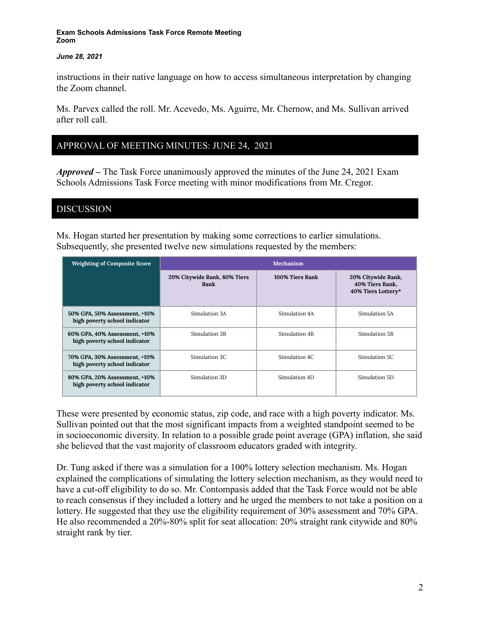### *June 28, 2021*

instructions in their native language on how to access simultaneous interpretation by changing the Zoom channel.

Ms. Parvex called the roll. Mr. Acevedo, Ms. Aguirre, Mr. Chernow, and Ms. Sullivan arrived after roll call.

## APPROVAL OF MEETING MINUTES: JUNE 24, 2021

*Approved –* The Task Force unanimously approved the minutes of the June 24, 2021 Exam Schools Admissions Task Force meeting with minor modifications from Mr. Cregor.

DISCUSSION

Ms. Hogan started her presentation by making some corrections to earlier simulations. Subsequently, she presented twelve new simulations requested by the members:

| <b>Weighting of Composite Score</b>                            | Mechanism                            |                 |                                                             |
|----------------------------------------------------------------|--------------------------------------|-----------------|-------------------------------------------------------------|
|                                                                | 20% Citywide Rank, 80% Tiers<br>Rank | 100% Tiers Rank | 20% Citywide Rank,<br>40% Tiers Rank,<br>40% Tiers Lottery* |
| 50% GPA, 50% Assessment, +10%<br>high poverty school indicator | Simulation 3A                        | Simulation 4A   | Simulation 5A                                               |
| 60% GPA, 40% Assessment, +10%<br>high poverty school indicator | Simulation 3B                        | Simulation 4B   | Simulation 5B                                               |
| 70% GPA, 30% Assessment, +10%<br>high poverty school indicator | Simulation 3C                        | Simulation 4C   | Simulation 5C                                               |
| 80% GPA, 20% Assessment, +10%<br>high poverty school indicator | Simulation 3D                        | Simulation 4D   | Simulation 5D                                               |

These were presented by economic status, zip code, and race with a high poverty indicator. Ms. Sullivan pointed out that the most significant impacts from a weighted standpoint seemed to be in socioeconomic diversity. In relation to a possible grade point average (GPA) inflation, she said she believed that the vast majority of classroom educators graded with integrity.

Dr. Tung asked if there was a simulation for a 100% lottery selection mechanism. Ms. Hogan explained the complications of simulating the lottery selection mechanism, as they would need to have a cut-off eligibility to do so. Mr. Contompasis added that the Task Force would not be able to reach consensus if they included a lottery and he urged the members to not take a position on a lottery. He suggested that they use the eligibility requirement of 30% assessment and 70% GPA. He also recommended a 20%-80% split for seat allocation: 20% straight rank citywide and 80% straight rank by tier.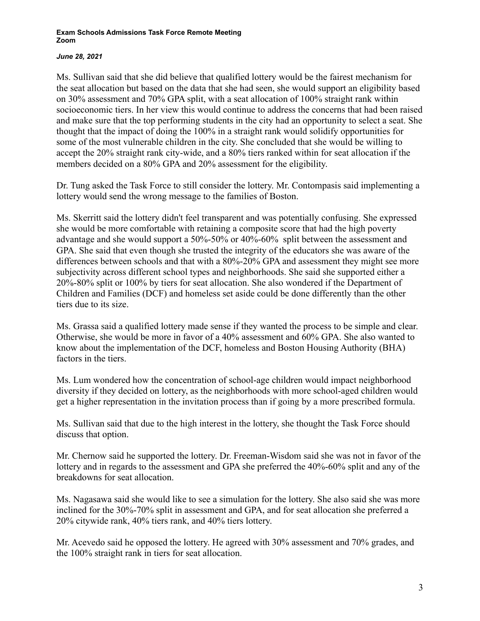### *June 28, 2021*

Ms. Sullivan said that she did believe that qualified lottery would be the fairest mechanism for the seat allocation but based on the data that she had seen, she would support an eligibility based on 30% assessment and 70% GPA split, with a seat allocation of 100% straight rank within socioeconomic tiers. In her view this would continue to address the concerns that had been raised and make sure that the top performing students in the city had an opportunity to select a seat. She thought that the impact of doing the 100% in a straight rank would solidify opportunities for some of the most vulnerable children in the city. She concluded that she would be willing to accept the 20% straight rank city-wide, and a 80% tiers ranked within for seat allocation if the members decided on a 80% GPA and 20% assessment for the eligibility.

Dr. Tung asked the Task Force to still consider the lottery. Mr. Contompasis said implementing a lottery would send the wrong message to the families of Boston.

Ms. Skerritt said the lottery didn't feel transparent and was potentially confusing. She expressed she would be more comfortable with retaining a composite score that had the high poverty advantage and she would support a 50%-50% or 40%-60% split between the assessment and GPA. She said that even though she trusted the integrity of the educators she was aware of the differences between schools and that with a 80%-20% GPA and assessment they might see more subjectivity across different school types and neighborhoods. She said she supported either a 20%-80% split or 100% by tiers for seat allocation. She also wondered if the Department of Children and Families (DCF) and homeless set aside could be done differently than the other tiers due to its size.

Ms. Grassa said a qualified lottery made sense if they wanted the process to be simple and clear. Otherwise, she would be more in favor of a 40% assessment and 60% GPA. She also wanted to know about the implementation of the DCF, homeless and Boston Housing Authority (BHA) factors in the tiers.

Ms. Lum wondered how the concentration of school-age children would impact neighborhood diversity if they decided on lottery, as the neighborhoods with more school-aged children would get a higher representation in the invitation process than if going by a more prescribed formula.

Ms. Sullivan said that due to the high interest in the lottery, she thought the Task Force should discuss that option.

Mr. Chernow said he supported the lottery. Dr. Freeman-Wisdom said she was not in favor of the lottery and in regards to the assessment and GPA she preferred the 40%-60% split and any of the breakdowns for seat allocation.

Ms. Nagasawa said she would like to see a simulation for the lottery. She also said she was more inclined for the 30%-70% split in assessment and GPA, and for seat allocation she preferred a 20% citywide rank, 40% tiers rank, and 40% tiers lottery.

Mr. Acevedo said he opposed the lottery. He agreed with 30% assessment and 70% grades, and the 100% straight rank in tiers for seat allocation.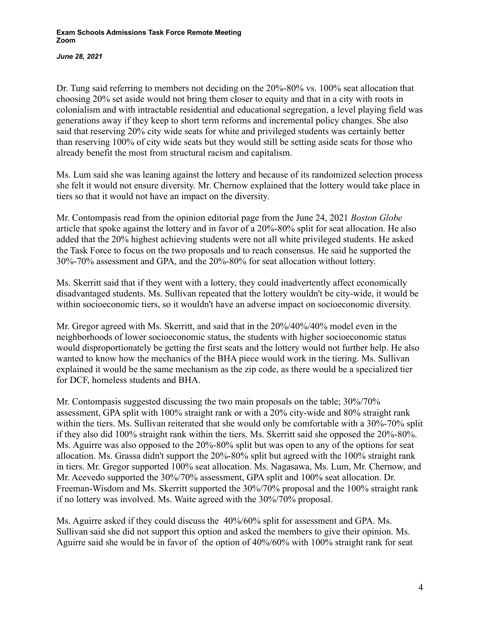*June 28, 2021*

Dr. Tung said referring to members not deciding on the 20%-80% vs. 100% seat allocation that choosing 20% set aside would not bring them closer to equity and that in a city with roots in colonialism and with intractable residential and educational segregation, a level playing field was generations away if they keep to short term reforms and incremental policy changes. She also said that reserving 20% city wide seats for white and privileged students was certainly better than reserving 100% of city wide seats but they would still be setting aside seats for those who already benefit the most from structural racism and capitalism.

Ms. Lum said she was leaning against the lottery and because of its randomized selection process she felt it would not ensure diversity. Mr. Chernow explained that the lottery would take place in tiers so that it would not have an impact on the diversity.

Mr. Contompasis read from the opinion editorial page from the June 24, 2021 *Boston Globe* article that spoke against the lottery and in favor of a 20%-80% split for seat allocation. He also added that the 20% highest achieving students were not all white privileged students. He asked the Task Force to focus on the two proposals and to reach consensus. He said he supported the 30%-70% assessment and GPA, and the 20%-80% for seat allocation without lottery.

Ms. Skerritt said that if they went with a lottery, they could inadvertently affect economically disadvantaged students. Ms. Sullivan repeated that the lottery wouldn't be city-wide, it would be within socioeconomic tiers, so it wouldn't have an adverse impact on socioeconomic diversity.

Mr. Gregor agreed with Ms. Skerritt, and said that in the 20%/40%/40% model even in the neighborhoods of lower socioeconomic status, the students with higher socioeconomic status would disproportionately be getting the first seats and the lottery would not further help. He also wanted to know how the mechanics of the BHA piece would work in the tiering. Ms. Sullivan explained it would be the same mechanism as the zip code, as there would be a specialized tier for DCF, homeless students and BHA.

Mr. Contompasis suggested discussing the two main proposals on the table; 30%/70% assessment, GPA split with 100% straight rank or with a 20% city-wide and 80% straight rank within the tiers. Ms. Sullivan reiterated that she would only be comfortable with a 30%-70% split if they also did 100% straight rank within the tiers. Ms. Skerritt said she opposed the 20%-80%. Ms. Aguirre was also opposed to the 20%-80% split but was open to any of the options for seat allocation. Ms. Grassa didn't support the 20%-80% split but agreed with the 100% straight rank in tiers. Mr. Gregor supported 100% seat allocation. Ms. Nagasawa, Ms. Lum, Mr. Chernow, and Mr. Acevedo supported the 30%/70% assessment, GPA split and 100% seat allocation. Dr. Freeman-Wisdom and Ms. Skerritt supported the 30%/70% proposal and the 100% straight rank if no lottery was involved. Ms. Waite agreed with the 30%/70% proposal.

Ms. Aguirre asked if they could discuss the 40%/60% split for assessment and GPA. Ms. Sullivan said she did not support this option and asked the members to give their opinion. Ms. Aguirre said she would be in favor of the option of 40%/60% with 100% straight rank for seat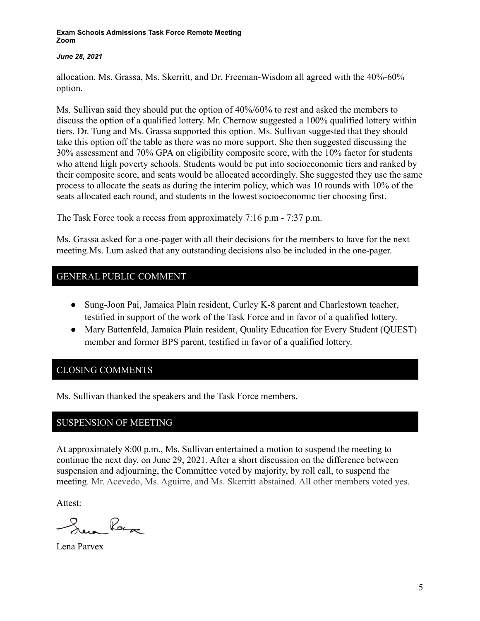### *June 28, 2021*

allocation. Ms. Grassa, Ms. Skerritt, and Dr. Freeman-Wisdom all agreed with the 40%-60% option.

Ms. Sullivan said they should put the option of 40%/60% to rest and asked the members to discuss the option of a qualified lottery. Mr. Chernow suggested a 100% qualified lottery within tiers. Dr. Tung and Ms. Grassa supported this option. Ms. Sullivan suggested that they should take this option off the table as there was no more support. She then suggested discussing the 30% assessment and 70% GPA on eligibility composite score, with the 10% factor for students who attend high poverty schools. Students would be put into socioeconomic tiers and ranked by their composite score, and seats would be allocated accordingly. She suggested they use the same process to allocate the seats as during the interim policy, which was 10 rounds with 10% of the seats allocated each round, and students in the lowest socioeconomic tier choosing first.

The Task Force took a recess from approximately 7:16 p.m - 7:37 p.m.

Ms. Grassa asked for a one-pager with all their decisions for the members to have for the next meeting.Ms. Lum asked that any outstanding decisions also be included in the one-pager.

## GENERAL PUBLIC COMMENT

- Sung-Joon Pai, Jamaica Plain resident, Curley K-8 parent and Charlestown teacher, testified in support of the work of the Task Force and in favor of a qualified lottery.
- Mary Battenfeld, Jamaica Plain resident, Quality Education for Every Student (QUEST) member and former BPS parent, testified in favor of a qualified lottery.

## CLOSING COMMENTS

Ms. Sullivan thanked the speakers and the Task Force members.

## SUSPENSION OF MEETING

At approximately 8:00 p.m., Ms. Sullivan entertained a motion to suspend the meeting to continue the next day, on June 29, 2021. After a short discussion on the difference between suspension and adjourning, the Committee voted by majority, by roll call, to suspend the meeting. Mr. Acevedo, Ms. Aguirre, and Ms. Skerritt abstained. All other members voted yes.

Attest:

Roya

Lena Parvex